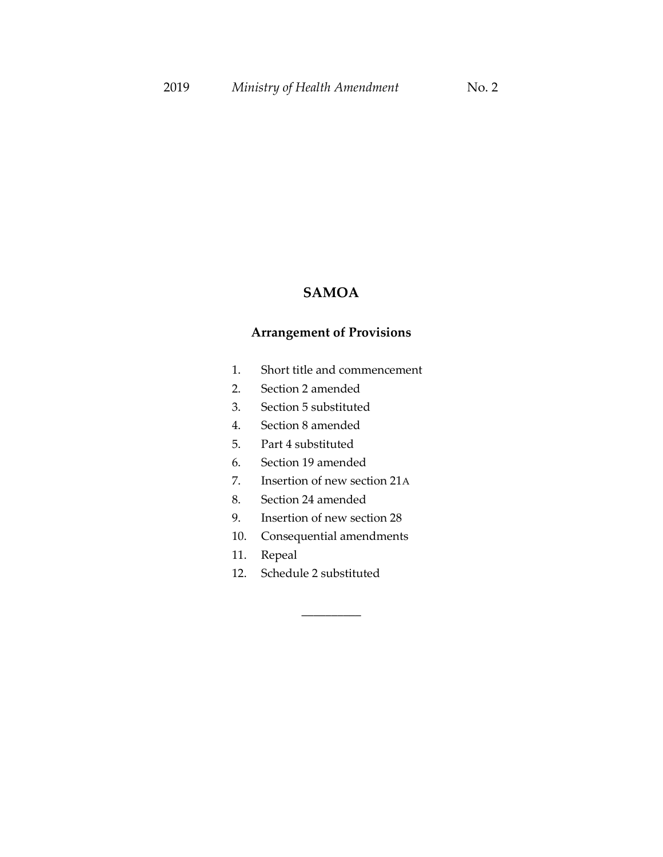### **SAMOA**

### **Arrangement of Provisions**

- 1. Short title and commencement
- 2. Section 2 amended
- 3. Section 5 substituted
- 4. Section 8 amended
- 5. Part 4 substituted
- 6. Section 19 amended
- 7. Insertion of new section 21A
- 8. Section 24 amended
- 9. Insertion of new section 28
- 10. Consequential amendments

\_\_\_\_\_\_\_\_\_\_

- 11. Repeal
- 12. Schedule 2 substituted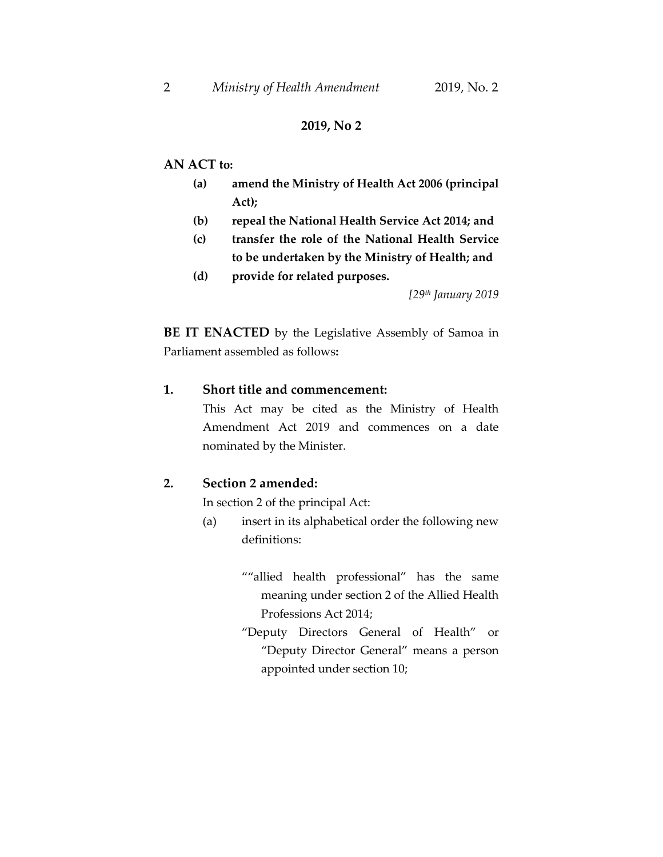### **2019, No 2**

#### **AN ACT to:**

- **(a) amend the Ministry of Health Act 2006 (principal Act);**
- **(b) repeal the National Health Service Act 2014; and**
- **(c) transfer the role of the National Health Service to be undertaken by the Ministry of Health; and**
- **(d) provide for related purposes.**

*[29th January 2019*

**BE IT ENACTED** by the Legislative Assembly of Samoa in Parliament assembled as follows**:**

#### **1. Short title and commencement:**

This Act may be cited as the Ministry of Health Amendment Act 2019 and commences on a date nominated by the Minister.

#### **2. Section 2 amended:**

In section 2 of the principal Act:

- (a) insert in its alphabetical order the following new definitions:
	- ""allied health professional" has the same meaning under section 2 of the Allied Health Professions Act 2014;
	- "Deputy Directors General of Health" or "Deputy Director General" means a person appointed under section 10;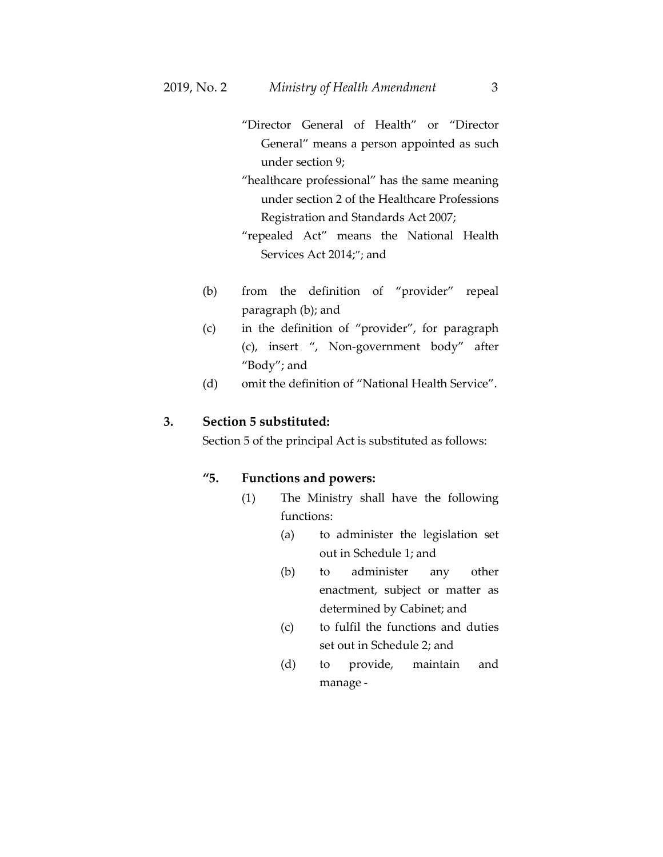- "Director General of Health" or "Director General" means a person appointed as such under section 9;
- "healthcare professional" has the same meaning under section 2 of the Healthcare Professions Registration and Standards Act 2007;
- "repealed Act" means the National Health Services Act 2014;"; and
- (b) from the definition of "provider" repeal paragraph (b); and
- (c) in the definition of "provider", for paragraph (c), insert ", Non-government body" after "Body"; and
- (d) omit the definition of "National Health Service".

#### **3. Section 5 substituted:**

Section 5 of the principal Act is substituted as follows:

#### **"5. Functions and powers:**

- (1) The Ministry shall have the following functions:
	- (a) to administer the legislation set out in Schedule 1; and
	- (b) to administer any other enactment, subject or matter as determined by Cabinet; and
	- (c) to fulfil the functions and duties set out in Schedule 2; and
	- (d) to provide, maintain and manage -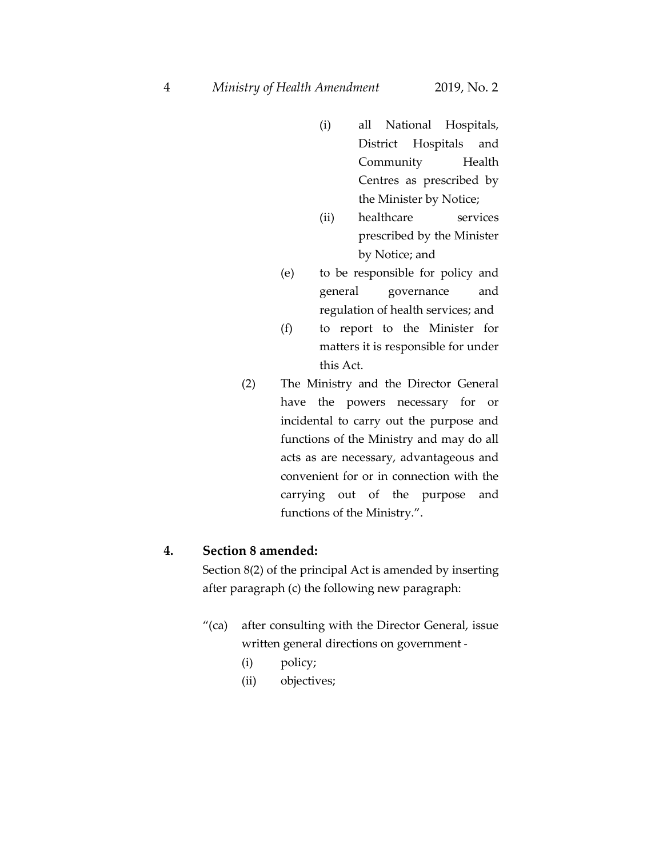- (i) all National Hospitals, District Hospitals and Community Health Centres as prescribed by the Minister by Notice;
- (ii) healthcare services prescribed by the Minister by Notice; and
- (e) to be responsible for policy and general governance and regulation of health services; and
- (f) to report to the Minister for matters it is responsible for under this Act.
- (2) The Ministry and the Director General have the powers necessary for or incidental to carry out the purpose and functions of the Ministry and may do all acts as are necessary, advantageous and convenient for or in connection with the carrying out of the purpose and functions of the Ministry.".

#### **4. Section 8 amended:**

Section 8(2) of the principal Act is amended by inserting after paragraph (c) the following new paragraph:

- "(ca) after consulting with the Director General, issue written general directions on government -
	- (i) policy;
	- (ii) objectives;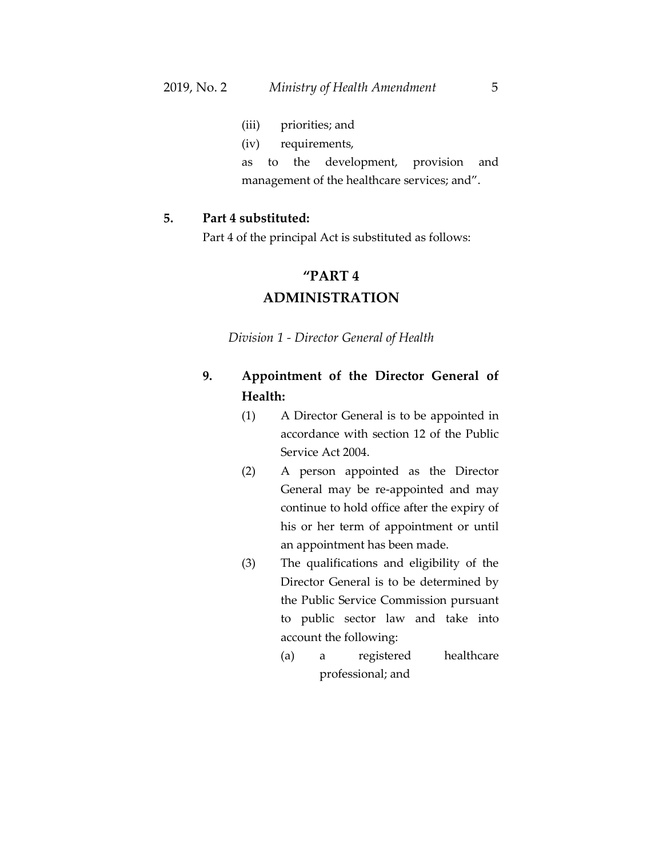- (iii) priorities; and
- (iv) requirements,

as to the development, provision and management of the healthcare services; and".

#### **5. Part 4 substituted:**

Part 4 of the principal Act is substituted as follows:

# **"PART 4**

### **ADMINISTRATION**

*Division 1 - Director General of Health*

## **9. Appointment of the Director General of Health:**

- (1) A Director General is to be appointed in accordance with section 12 of the Public Service Act 2004.
- (2) A person appointed as the Director General may be re-appointed and may continue to hold office after the expiry of his or her term of appointment or until an appointment has been made.
- (3) The qualifications and eligibility of the Director General is to be determined by the Public Service Commission pursuant to public sector law and take into account the following:
	- (a) a registered healthcare professional; and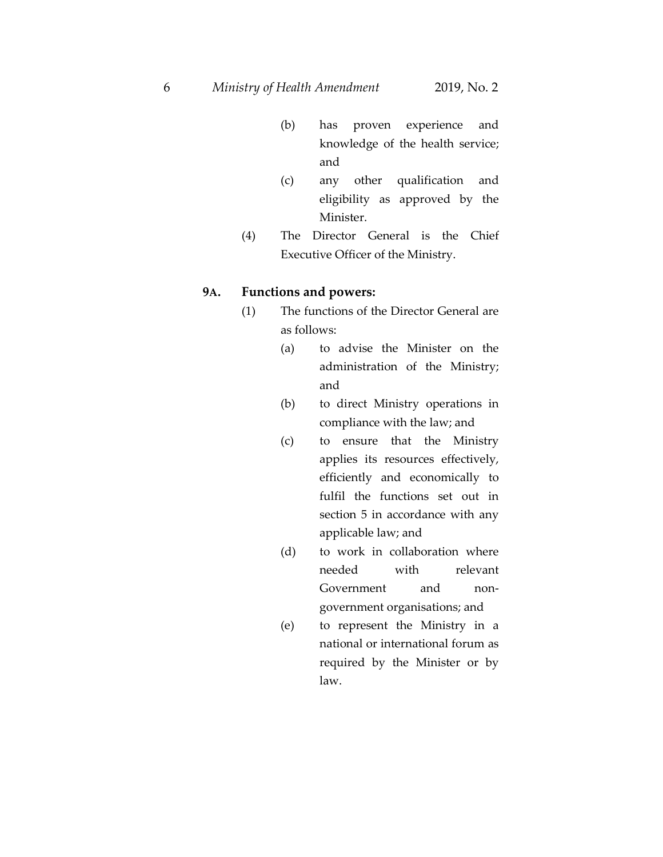- (b) has proven experience and knowledge of the health service; and
- (c) any other qualification and eligibility as approved by the Minister.
- (4) The Director General is the Chief Executive Officer of the Ministry.

#### **9A. Functions and powers:**

- (1) The functions of the Director General are as follows:
	- (a) to advise the Minister on the administration of the Ministry; and
	- (b) to direct Ministry operations in compliance with the law; and
	- (c) to ensure that the Ministry applies its resources effectively, efficiently and economically to fulfil the functions set out in section 5 in accordance with any applicable law; and
	- (d) to work in collaboration where needed with relevant Government and nongovernment organisations; and
	- (e) to represent the Ministry in a national or international forum as required by the Minister or by law.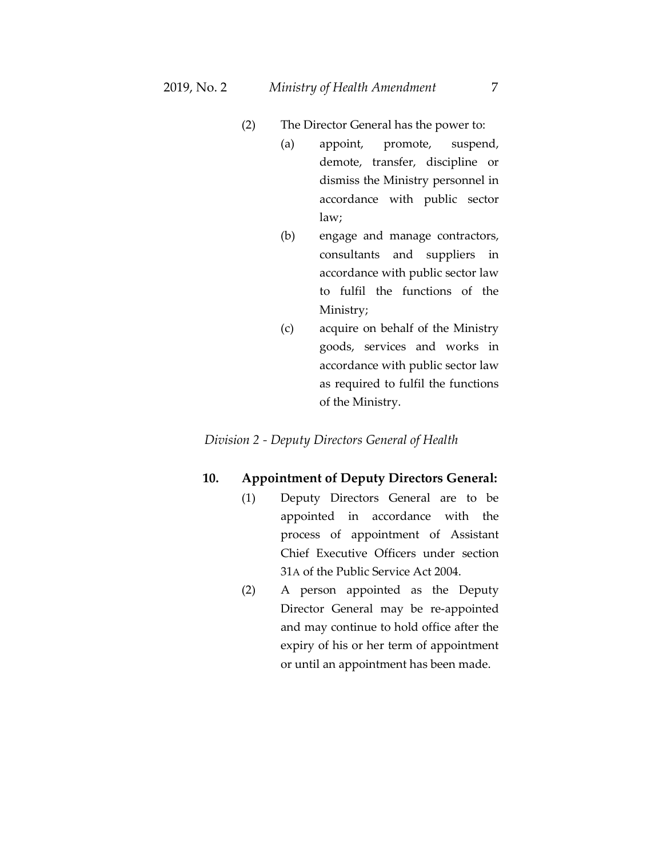- (2) The Director General has the power to:
	- (a) appoint, promote, suspend, demote, transfer, discipline or dismiss the Ministry personnel in accordance with public sector law;
	- (b) engage and manage contractors, consultants and suppliers in accordance with public sector law to fulfil the functions of the Ministry;
	- (c) acquire on behalf of the Ministry goods, services and works in accordance with public sector law as required to fulfil the functions of the Ministry.

*Division 2 - Deputy Directors General of Health*

#### **10. Appointment of Deputy Directors General:**

- (1) Deputy Directors General are to be appointed in accordance with the process of appointment of Assistant Chief Executive Officers under section 31A of the Public Service Act 2004.
- (2) A person appointed as the Deputy Director General may be re-appointed and may continue to hold office after the expiry of his or her term of appointment or until an appointment has been made.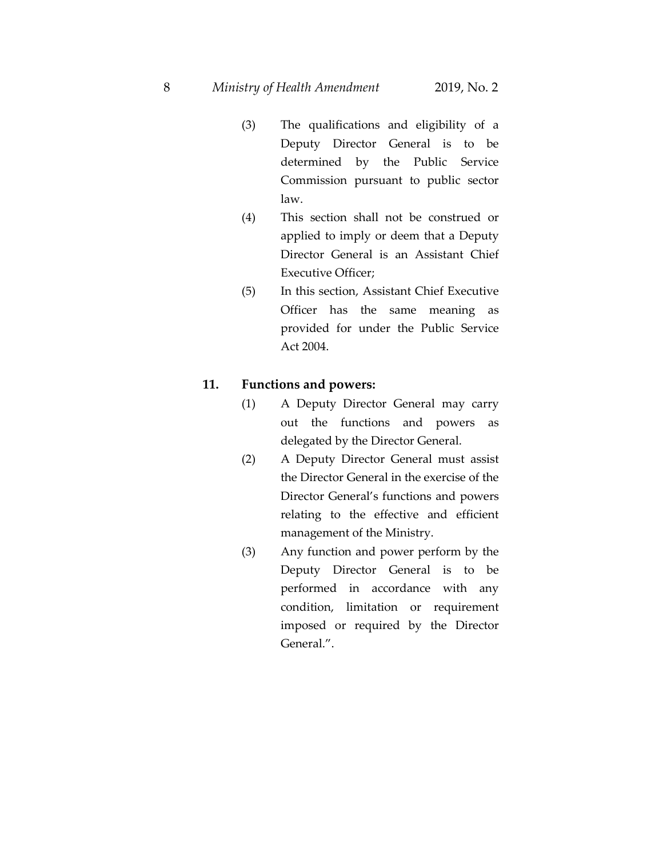- (3) The qualifications and eligibility of a Deputy Director General is to be determined by the Public Service Commission pursuant to public sector law.
- (4) This section shall not be construed or applied to imply or deem that a Deputy Director General is an Assistant Chief Executive Officer;
- (5) In this section, Assistant Chief Executive Officer has the same meaning as provided for under the Public Service Act 2004.

#### **11. Functions and powers:**

- (1) A Deputy Director General may carry out the functions and powers as delegated by the Director General.
- (2) A Deputy Director General must assist the Director General in the exercise of the Director General's functions and powers relating to the effective and efficient management of the Ministry.
- (3) Any function and power perform by the Deputy Director General is to be performed in accordance with any condition, limitation or requirement imposed or required by the Director General.".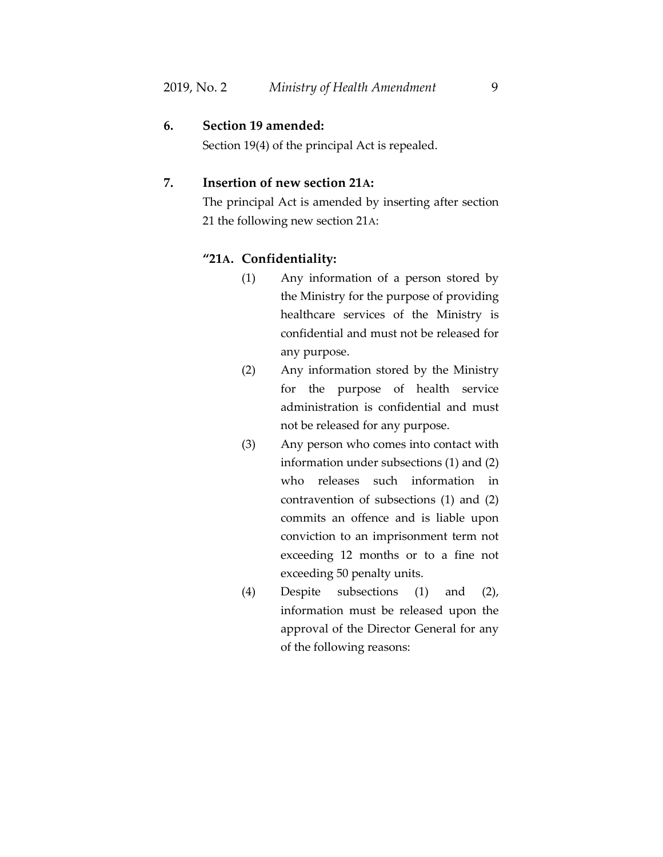### **6. Section 19 amended:**

Section 19(4) of the principal Act is repealed.

#### **7. Insertion of new section 21A:**

The principal Act is amended by inserting after section 21 the following new section 21A:

#### **"21A. Confidentiality:**

- (1) Any information of a person stored by the Ministry for the purpose of providing healthcare services of the Ministry is confidential and must not be released for any purpose.
- (2) Any information stored by the Ministry for the purpose of health service administration is confidential and must not be released for any purpose.
- (3) Any person who comes into contact with information under subsections (1) and (2) who releases such information in contravention of subsections (1) and (2) commits an offence and is liable upon conviction to an imprisonment term not exceeding 12 months or to a fine not exceeding 50 penalty units.
- (4) Despite subsections (1) and (2), information must be released upon the approval of the Director General for any of the following reasons: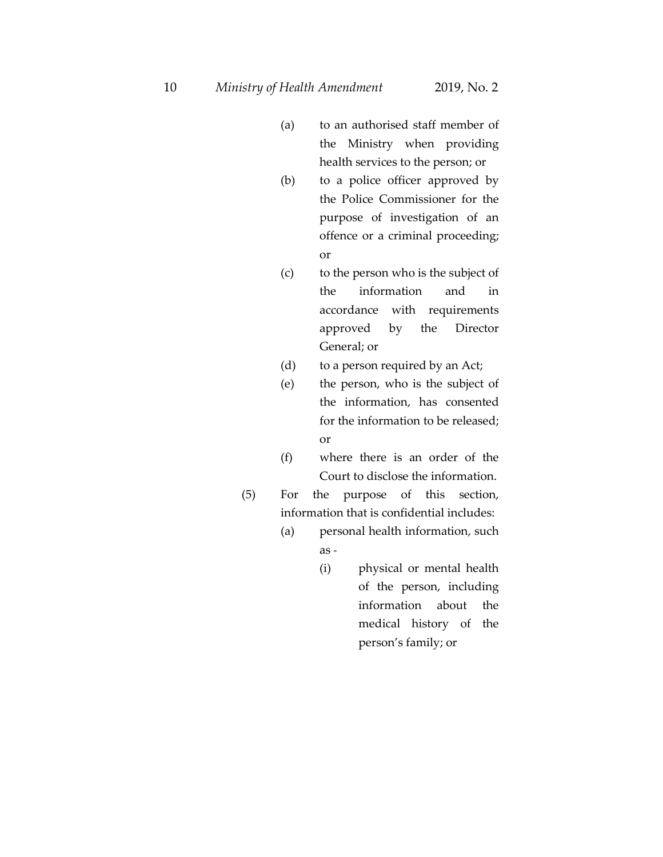10 *Ministry of Health Amendment* 2019, No. 2

- (a) to an authorised staff member of the Ministry when providing health services to the person; or
- (b) to a police officer approved by the Police Commissioner for the purpose of investigation of an offence or a criminal proceeding; or
- (c) to the person who is the subject of the information and in accordance with requirements approved by the Director General; or
- (d) to a person required by an Act;
- (e) the person, who is the subject of the information, has consented for the information to be released; or
- (f) where there is an order of the Court to disclose the information.
- (5) For the purpose of this section, information that is confidential includes:
	- (a) personal health information, such as -
		- (i) physical or mental health of the person, including information about the medical history of the person's family; or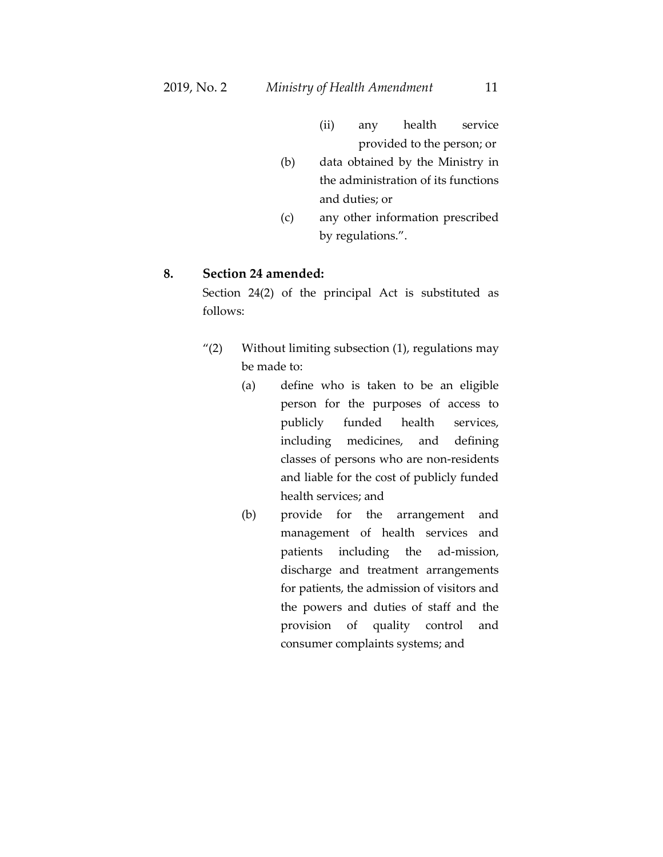- (ii) any health service provided to the person; or
- (b) data obtained by the Ministry in the administration of its functions and duties; or
- (c) any other information prescribed by regulations.".

#### **8. Section 24 amended:**

Section 24(2) of the principal Act is substituted as follows:

- "(2) Without limiting subsection (1), regulations may be made to:
	- (a) define who is taken to be an eligible person for the purposes of access to publicly funded health services, including medicines, and defining classes of persons who are non-residents and liable for the cost of publicly funded health services; and
	- (b) provide for the arrangement and management of health services and patients including the ad-mission, discharge and treatment arrangements for patients, the admission of visitors and the powers and duties of staff and the provision of quality control and consumer complaints systems; and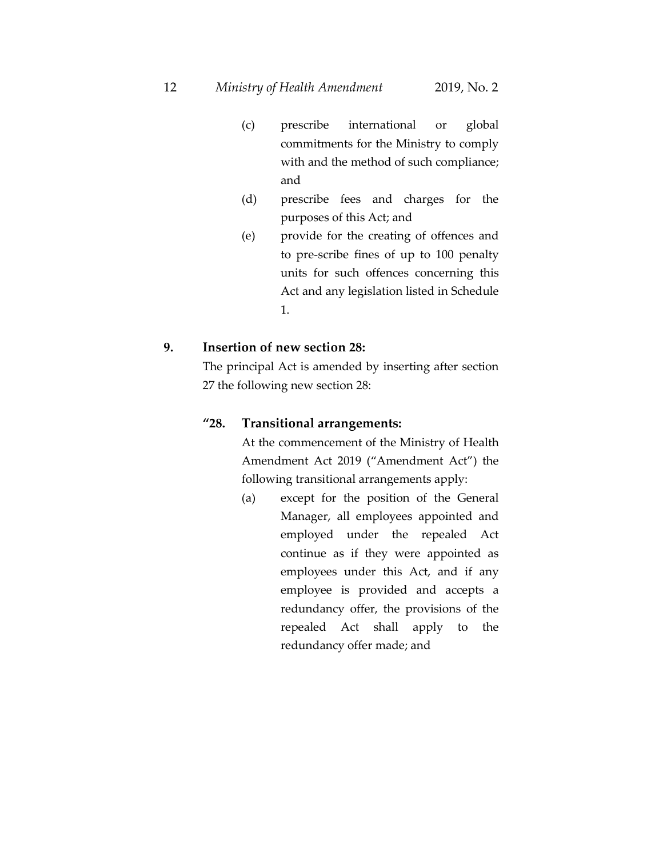- (c) prescribe international or global commitments for the Ministry to comply with and the method of such compliance; and
- (d) prescribe fees and charges for the purposes of this Act; and
- (e) provide for the creating of offences and to pre-scribe fines of up to 100 penalty units for such offences concerning this Act and any legislation listed in Schedule 1.

### **9. Insertion of new section 28:**

The principal Act is amended by inserting after section 27 the following new section 28:

### **"28. Transitional arrangements:**

At the commencement of the Ministry of Health Amendment Act 2019 ("Amendment Act") the following transitional arrangements apply:

(a) except for the position of the General Manager, all employees appointed and employed under the repealed Act continue as if they were appointed as employees under this Act, and if any employee is provided and accepts a redundancy offer, the provisions of the repealed Act shall apply to the redundancy offer made; and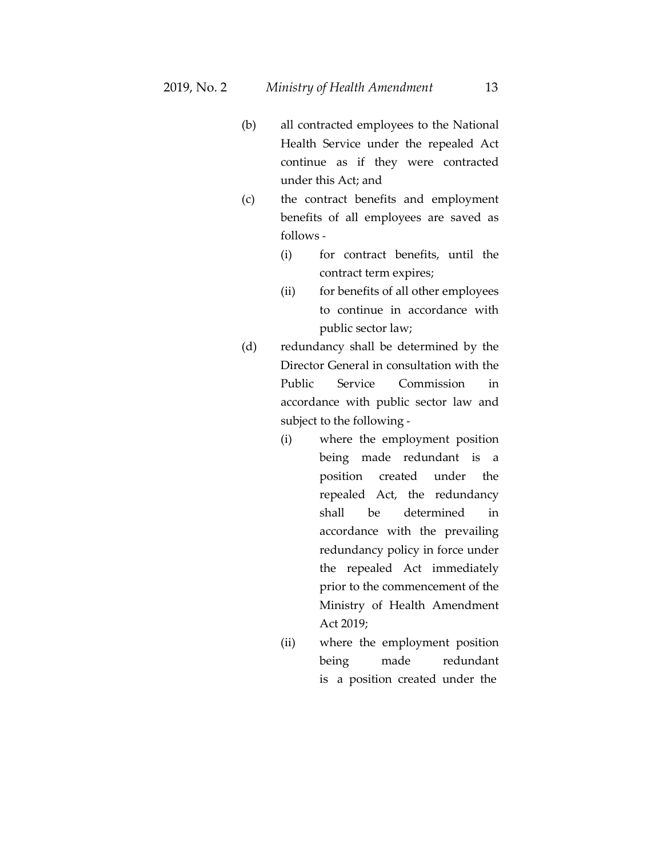- (b) all contracted employees to the National Health Service under the repealed Act continue as if they were contracted under this Act; and
- (c) the contract benefits and employment benefits of all employees are saved as follows -
	- (i) for contract benefits, until the contract term expires;
	- (ii) for benefits of all other employees to continue in accordance with public sector law;
- (d) redundancy shall be determined by the Director General in consultation with the Public Service Commission in accordance with public sector law and subject to the following -
	- (i) where the employment position being made redundant is a position created under the repealed Act, the redundancy shall be determined in accordance with the prevailing redundancy policy in force under the repealed Act immediately prior to the commencement of the Ministry of Health Amendment Act 2019;
	- (ii) where the employment position being made redundant is a position created under the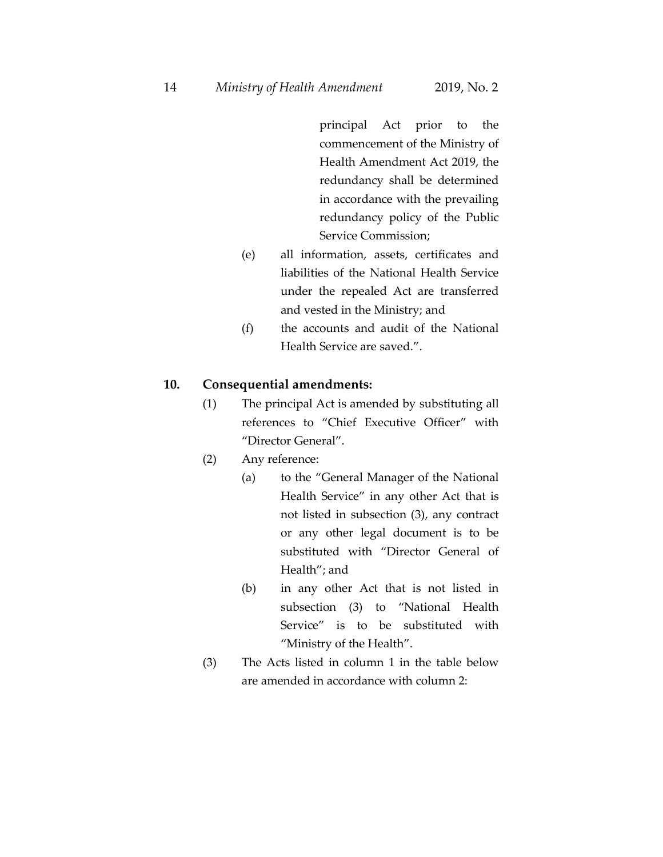principal Act prior to the commencement of the Ministry of Health Amendment Act 2019, the redundancy shall be determined in accordance with the prevailing redundancy policy of the Public Service Commission;

- (e) all information, assets, certificates and liabilities of the National Health Service under the repealed Act are transferred and vested in the Ministry; and
- (f) the accounts and audit of the National Health Service are saved.".

#### **10. Consequential amendments:**

- (1) The principal Act is amended by substituting all references to "Chief Executive Officer" with "Director General".
- (2) Any reference:
	- (a) to the "General Manager of the National Health Service" in any other Act that is not listed in subsection (3), any contract or any other legal document is to be substituted with "Director General of Health"; and
	- (b) in any other Act that is not listed in subsection (3) to "National Health Service" is to be substituted with "Ministry of the Health".
- (3) The Acts listed in column 1 in the table below are amended in accordance with column 2: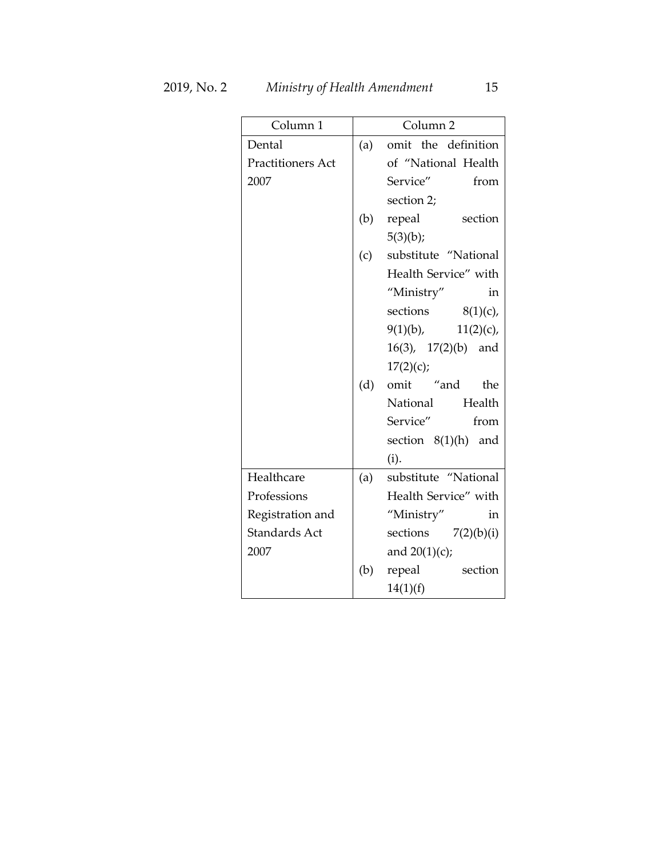| Column 1          | Column <sub>2</sub> |                          |  |  |  |
|-------------------|---------------------|--------------------------|--|--|--|
| Dental            | (a)                 | omit the definition      |  |  |  |
| Practitioners Act | of "National Health |                          |  |  |  |
| 2007              | Service"<br>from    |                          |  |  |  |
|                   |                     | section 2;               |  |  |  |
|                   | (b)                 | repeal section           |  |  |  |
|                   |                     | 5(3)(b);                 |  |  |  |
|                   | (c)                 | substitute "National     |  |  |  |
|                   |                     | Health Service" with     |  |  |  |
|                   |                     | "Ministry"<br>in         |  |  |  |
|                   |                     | sections $8(1)(c)$ ,     |  |  |  |
|                   |                     | $9(1)(b)$ , $11(2)(c)$ , |  |  |  |
|                   |                     | 16(3), 17(2)(b) and      |  |  |  |
|                   |                     | 17(2)(c);                |  |  |  |
|                   | (d)                 | omit "and the            |  |  |  |
|                   |                     | National Health          |  |  |  |
|                   |                     | Service"<br>from         |  |  |  |
|                   |                     | section $8(1)(h)$ and    |  |  |  |
|                   |                     | (i).                     |  |  |  |
| Healthcare        | (a)                 | substitute "National     |  |  |  |
| Professions       |                     | Health Service" with     |  |  |  |
| Registration and  |                     | "Ministry"<br>in         |  |  |  |
| Standards Act     |                     | sections $7(2)(b)(i)$    |  |  |  |
| 2007              |                     | and $20(1)(c)$ ;         |  |  |  |
|                   | (b)                 | repeal section           |  |  |  |
|                   |                     | 14(1)(f)                 |  |  |  |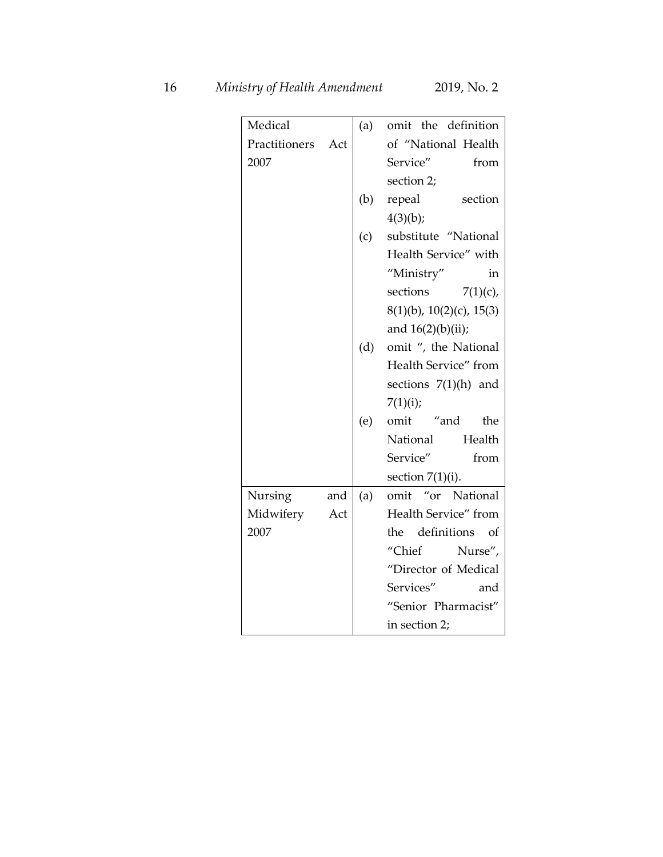16 *Ministry of Health Amendment* 2019, No. 2

| Medical              | (a) | omit the definition              |  |  |  |
|----------------------|-----|----------------------------------|--|--|--|
| Practitioners<br>Act |     | of "National Health              |  |  |  |
| 2007                 |     | Service"<br>from                 |  |  |  |
|                      |     | section 2;                       |  |  |  |
|                      | (b) | repeal<br>section                |  |  |  |
|                      |     | 4(3)(b);                         |  |  |  |
|                      | (c) | substitute "National             |  |  |  |
|                      |     | Health Service" with             |  |  |  |
|                      |     | "Ministry"<br>in                 |  |  |  |
|                      |     | sections<br>$7(1)(c)$ ,          |  |  |  |
|                      |     | $8(1)(b)$ , $10(2)(c)$ , $15(3)$ |  |  |  |
|                      |     | and $16(2)(b)(ii)$ ;             |  |  |  |
|                      | (d) | omit ", the National             |  |  |  |
|                      |     | Health Service" from             |  |  |  |
|                      |     | sections 7(1)(h) and             |  |  |  |
|                      |     | 7(1)(i);                         |  |  |  |
|                      | (e) | omit "and<br>the                 |  |  |  |
|                      |     | Health<br>National               |  |  |  |
|                      |     | from<br>Service"                 |  |  |  |
|                      |     | section $7(1)(i)$ .              |  |  |  |
| and<br>Nursing       | (a) | omit "or National                |  |  |  |
| Midwifery<br>Act     |     | Health Service" from             |  |  |  |
| 2007                 |     | definitions of<br>the            |  |  |  |
|                      |     | "Chief<br>Nurse",                |  |  |  |
|                      |     | "Director of Medical             |  |  |  |
|                      |     | Services"<br>and                 |  |  |  |
|                      |     | "Senior Pharmacist"              |  |  |  |
|                      |     | in section 2;                    |  |  |  |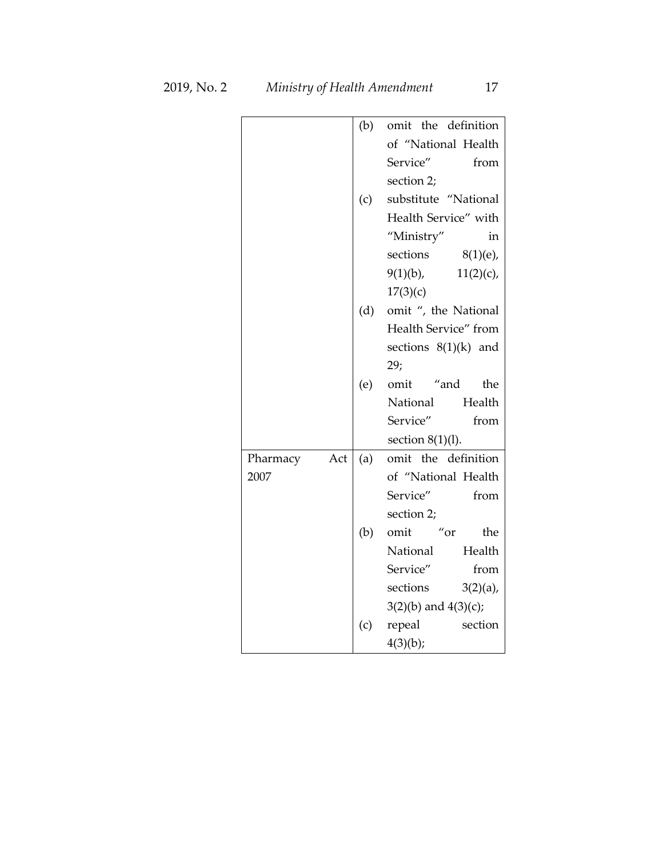|                 | (b) | omit the definition         |  |  |
|-----------------|-----|-----------------------------|--|--|
|                 |     | of "National Health         |  |  |
|                 |     | Service"<br>from            |  |  |
|                 |     | section 2;                  |  |  |
|                 | (c) | substitute "National        |  |  |
|                 |     | Health Service" with        |  |  |
|                 |     | "Ministry"<br>in            |  |  |
|                 |     | $8(1)(e)$ ,<br>sections     |  |  |
|                 |     | $9(1)(b)$ ,<br>$11(2)(c)$ , |  |  |
|                 |     | 17(3)(c)                    |  |  |
|                 | (d) | omit ", the National        |  |  |
|                 |     | Health Service" from        |  |  |
|                 |     | sections $8(1)(k)$ and      |  |  |
|                 |     | 29;                         |  |  |
|                 | (e) | omit<br>"and<br>the         |  |  |
|                 |     | National Health             |  |  |
|                 |     | Service"<br>from            |  |  |
|                 |     | section $8(1)(l)$ .         |  |  |
| Act<br>Pharmacy | (a) | omit the definition         |  |  |
| 2007            |     | of "National Health         |  |  |
|                 |     | Service"<br>from            |  |  |
|                 |     | section 2;                  |  |  |
|                 | (b) | $\alpha$ or<br>omit<br>the  |  |  |
|                 |     | Health<br>National          |  |  |
|                 |     | Service"<br>from            |  |  |
|                 |     | sections<br>$3(2)(a)$ ,     |  |  |
|                 |     | $3(2)(b)$ and $4(3)(c)$ ;   |  |  |
|                 | (c) | repeal<br>section           |  |  |
|                 |     | 4(3)(b);                    |  |  |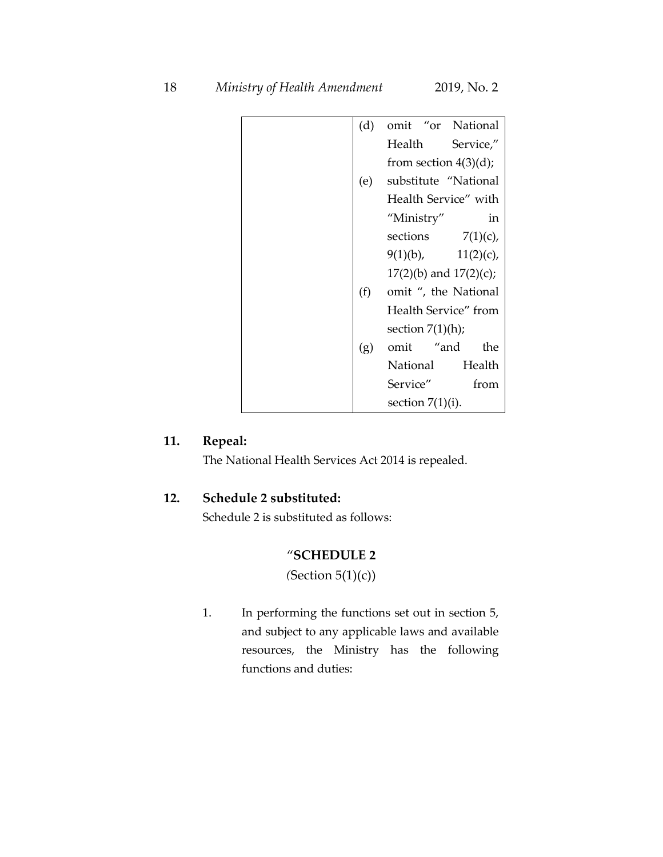| (d) |                                                                     |  | omit "or National        |     |
|-----|---------------------------------------------------------------------|--|--------------------------|-----|
|     |                                                                     |  | Health Service,"         |     |
|     | from section $4(3)(d)$ ;                                            |  |                          |     |
| (e) |                                                                     |  | substitute "National     |     |
|     | Health Service" with                                                |  |                          |     |
|     | "Ministry"                                                          |  |                          | in  |
|     |                                                                     |  | sections $7(1)(c)$ ,     |     |
|     |                                                                     |  | $9(1)(b)$ , $11(2)(c)$ , |     |
|     | $17(2)(b)$ and $17(2)(c)$ ;                                         |  |                          |     |
| (f) | omit ", the National<br>Health Service" from<br>section $7(1)(h)$ ; |  |                          |     |
|     |                                                                     |  |                          |     |
|     |                                                                     |  |                          |     |
| (g) | omit "and                                                           |  |                          | the |
|     |                                                                     |  | National Health          |     |
|     | Service"                                                            |  | from                     |     |
|     | section $7(1)(i)$ .                                                 |  |                          |     |

### **11. Repeal:**

The National Health Services Act 2014 is repealed.

### **12. Schedule 2 substituted:**

Schedule 2 is substituted as follows:

### "**SCHEDULE 2**

*(*Section 5(1)(c))

1. In performing the functions set out in section 5, and subject to any applicable laws and available resources, the Ministry has the following functions and duties: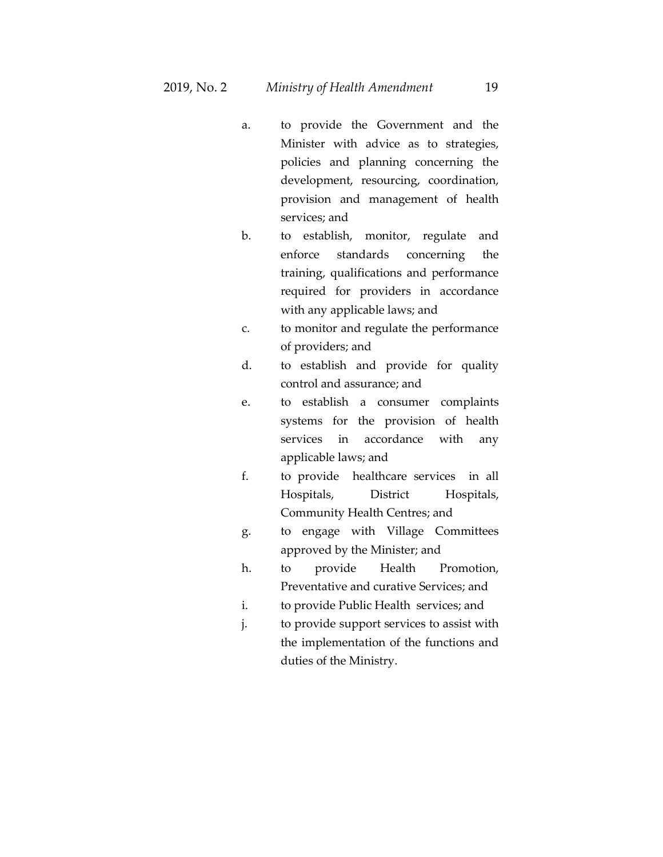- a. to provide the Government and the Minister with advice as to strategies, policies and planning concerning the development, resourcing, coordination, provision and management of health services; and
- b. to establish, monitor, regulate and enforce standards concerning the training, qualifications and performance required for providers in accordance with any applicable laws; and
- c. to monitor and regulate the performance of providers; and
- d. to establish and provide for quality control and assurance; and
- e. to establish a consumer complaints systems for the provision of health services in accordance with any applicable laws; and
- f. to provide healthcare services in all Hospitals, District Hospitals, Community Health Centres; and
- g. to engage with Village Committees approved by the Minister; and
- h. to provide Health Promotion, Preventative and curative Services; and
- i. to provide Public Health services; and
- j. to provide support services to assist with the implementation of the functions and duties of the Ministry.